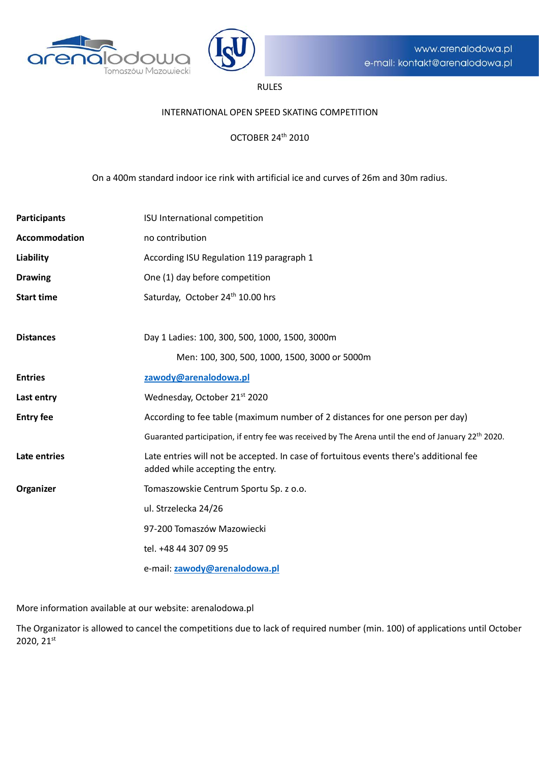



# RULES

## INTERNATIONAL OPEN SPEED SKATING COMPETITION

## OCTOBER 24th 2010

## On a 400m standard indoor ice rink with artificial ice and curves of 26m and 30m radius.

| <b>Participants</b> | ISU International competition                                                                                              |  |
|---------------------|----------------------------------------------------------------------------------------------------------------------------|--|
| Accommodation       | no contribution                                                                                                            |  |
| Liability           | According ISU Regulation 119 paragraph 1                                                                                   |  |
| <b>Drawing</b>      | One (1) day before competition                                                                                             |  |
| <b>Start time</b>   | Saturday, October 24 <sup>th</sup> 10.00 hrs                                                                               |  |
|                     |                                                                                                                            |  |
| <b>Distances</b>    | Day 1 Ladies: 100, 300, 500, 1000, 1500, 3000m                                                                             |  |
|                     | Men: 100, 300, 500, 1000, 1500, 3000 or 5000m                                                                              |  |
| <b>Entries</b>      | zawody@arenalodowa.pl                                                                                                      |  |
| Last entry          | Wednesday, October 21st 2020                                                                                               |  |
| <b>Entry fee</b>    | According to fee table (maximum number of 2 distances for one person per day)                                              |  |
|                     | Guaranted participation, if entry fee was received by The Arena until the end of January 22 <sup>th</sup> 2020.            |  |
| Late entries        | Late entries will not be accepted. In case of fortuitous events there's additional fee<br>added while accepting the entry. |  |
| Organizer           | Tomaszowskie Centrum Sportu Sp. z o.o.                                                                                     |  |
|                     | ul. Strzelecka 24/26                                                                                                       |  |
|                     | 97-200 Tomaszów Mazowiecki                                                                                                 |  |
|                     | tel. +48 44 307 09 95                                                                                                      |  |
|                     | e-mail: zawody@arenalodowa.pl                                                                                              |  |

More information available at our website: arenalodowa.pl

The Organizator is allowed to cancel the competitions due to lack of required number (min. 100) of applications until October 2020, 21st